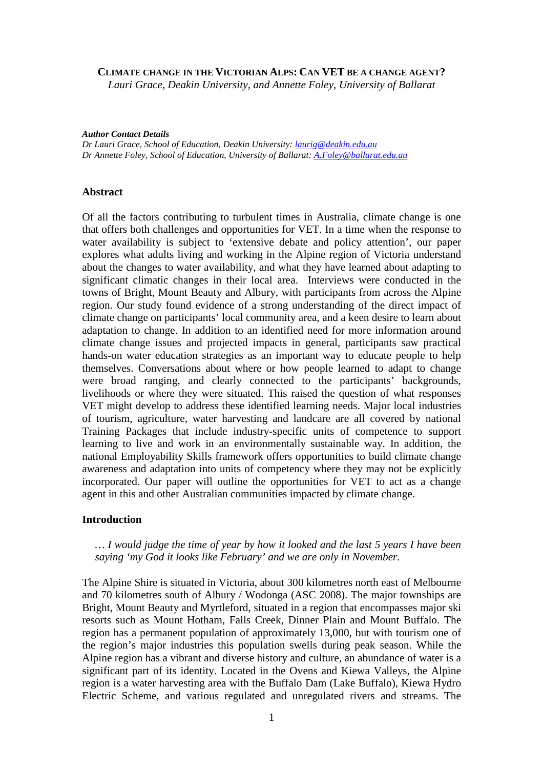#### **CLIMATE CHANGE IN THE VICTORIAN ALPS: CAN VET BE A CHANGE AGENT?**

*Lauri Grace, Deakin University, and Annette Foley, University of Ballarat* 

*Author Contact Details* 

*Dr Lauri Grace, School of Education, Deakin University: laurig@deakin.edu.au Dr Annette Foley, School of Education, University of Ballarat: A.Foley@ballarat.edu.au* 

#### **Abstract**

Of all the factors contributing to turbulent times in Australia, climate change is one that offers both challenges and opportunities for VET. In a time when the response to water availability is subject to 'extensive debate and policy attention', our paper explores what adults living and working in the Alpine region of Victoria understand about the changes to water availability, and what they have learned about adapting to significant climatic changes in their local area. Interviews were conducted in the towns of Bright, Mount Beauty and Albury, with participants from across the Alpine region. Our study found evidence of a strong understanding of the direct impact of climate change on participants' local community area, and a keen desire to learn about adaptation to change. In addition to an identified need for more information around climate change issues and projected impacts in general, participants saw practical hands-on water education strategies as an important way to educate people to help themselves. Conversations about where or how people learned to adapt to change were broad ranging, and clearly connected to the participants' backgrounds, livelihoods or where they were situated. This raised the question of what responses VET might develop to address these identified learning needs. Major local industries of tourism, agriculture, water harvesting and landcare are all covered by national Training Packages that include industry-specific units of competence to support learning to live and work in an environmentally sustainable way. In addition, the national Employability Skills framework offers opportunities to build climate change awareness and adaptation into units of competency where they may not be explicitly incorporated. Our paper will outline the opportunities for VET to act as a change agent in this and other Australian communities impacted by climate change.

# **Introduction**

## *… I would judge the time of year by how it looked and the last 5 years I have been saying 'my God it looks like February' and we are only in November.*

The Alpine Shire is situated in Victoria, about 300 kilometres north east of Melbourne and 70 kilometres south of Albury / Wodonga (ASC 2008). The major townships are Bright, Mount Beauty and Myrtleford, situated in a region that encompasses major ski resorts such as Mount Hotham, Falls Creek, Dinner Plain and Mount Buffalo. The region has a permanent population of approximately 13,000, but with tourism one of the region's major industries this population swells during peak season. While the Alpine region has a vibrant and diverse history and culture, an abundance of water is a significant part of its identity. Located in the Ovens and Kiewa Valleys, the Alpine region is a water harvesting area with the Buffalo Dam (Lake Buffalo), Kiewa Hydro Electric Scheme, and various regulated and unregulated rivers and streams. The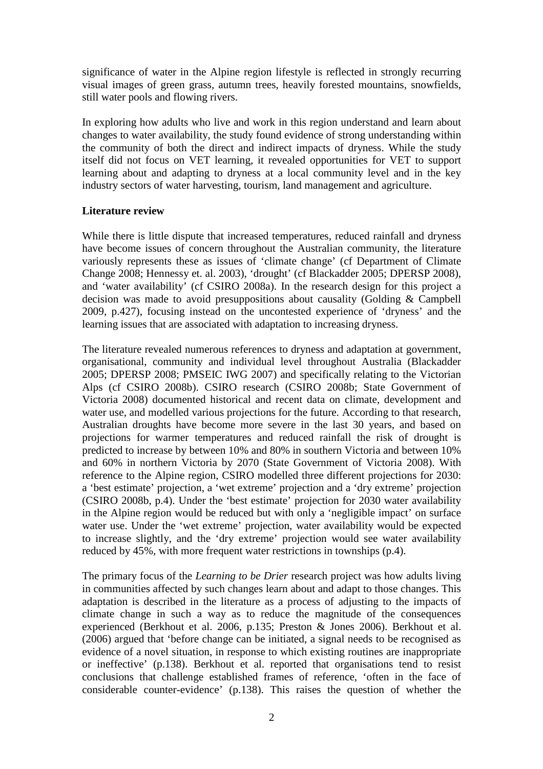significance of water in the Alpine region lifestyle is reflected in strongly recurring visual images of green grass, autumn trees, heavily forested mountains, snowfields, still water pools and flowing rivers.

In exploring how adults who live and work in this region understand and learn about changes to water availability, the study found evidence of strong understanding within the community of both the direct and indirect impacts of dryness. While the study itself did not focus on VET learning, it revealed opportunities for VET to support learning about and adapting to dryness at a local community level and in the key industry sectors of water harvesting, tourism, land management and agriculture.

## **Literature review**

While there is little dispute that increased temperatures, reduced rainfall and dryness have become issues of concern throughout the Australian community, the literature variously represents these as issues of 'climate change' (cf Department of Climate Change 2008; Hennessy et. al. 2003), 'drought' (cf Blackadder 2005; DPERSP 2008), and 'water availability' (cf CSIRO 2008a). In the research design for this project a decision was made to avoid presuppositions about causality (Golding & Campbell 2009, p.427), focusing instead on the uncontested experience of 'dryness' and the learning issues that are associated with adaptation to increasing dryness.

The literature revealed numerous references to dryness and adaptation at government, organisational, community and individual level throughout Australia (Blackadder 2005; DPERSP 2008; PMSEIC IWG 2007) and specifically relating to the Victorian Alps (cf CSIRO 2008b). CSIRO research (CSIRO 2008b; State Government of Victoria 2008) documented historical and recent data on climate, development and water use, and modelled various projections for the future. According to that research, Australian droughts have become more severe in the last 30 years, and based on projections for warmer temperatures and reduced rainfall the risk of drought is predicted to increase by between 10% and 80% in southern Victoria and between 10% and 60% in northern Victoria by 2070 (State Government of Victoria 2008). With reference to the Alpine region, CSIRO modelled three different projections for 2030: a 'best estimate' projection, a 'wet extreme' projection and a 'dry extreme' projection (CSIRO 2008b, p.4). Under the 'best estimate' projection for 2030 water availability in the Alpine region would be reduced but with only a 'negligible impact' on surface water use. Under the 'wet extreme' projection, water availability would be expected to increase slightly, and the 'dry extreme' projection would see water availability reduced by 45%, with more frequent water restrictions in townships (p.4).

The primary focus of the *Learning to be Drier* research project was how adults living in communities affected by such changes learn about and adapt to those changes. This adaptation is described in the literature as a process of adjusting to the impacts of climate change in such a way as to reduce the magnitude of the consequences experienced (Berkhout et al. 2006, p.135; Preston & Jones 2006). Berkhout et al. (2006) argued that 'before change can be initiated, a signal needs to be recognised as evidence of a novel situation, in response to which existing routines are inappropriate or ineffective' (p.138). Berkhout et al. reported that organisations tend to resist conclusions that challenge established frames of reference, 'often in the face of considerable counter-evidence' (p.138). This raises the question of whether the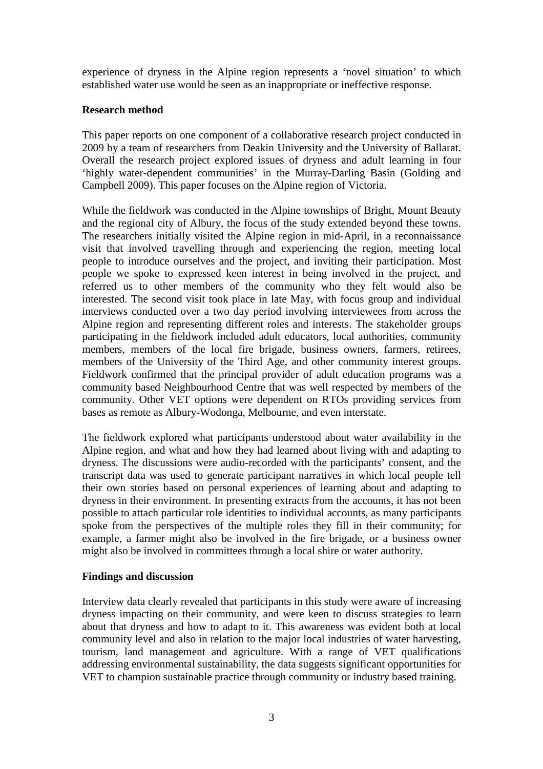experience of dryness in the Alpine region represents a 'novel situation' to which established water use would be seen as an inappropriate or ineffective response.

# **Research method**

This paper reports on one component of a collaborative research project conducted in 2009 by a team of researchers from Deakin University and the University of Ballarat. Overall the research project explored issues of dryness and adult learning in four 'highly water-dependent communities' in the Murray-Darling Basin (Golding and Campbell 2009). This paper focuses on the Alpine region of Victoria.

While the fieldwork was conducted in the Alpine townships of Bright, Mount Beauty and the regional city of Albury, the focus of the study extended beyond these towns. The researchers initially visited the Alpine region in mid-April, in a reconnaissance visit that involved travelling through and experiencing the region, meeting local people to introduce ourselves and the project, and inviting their participation. Most people we spoke to expressed keen interest in being involved in the project, and referred us to other members of the community who they felt would also be interested. The second visit took place in late May, with focus group and individual interviews conducted over a two day period involving interviewees from across the Alpine region and representing different roles and interests. The stakeholder groups participating in the fieldwork included adult educators, local authorities, community members, members of the local fire brigade, business owners, farmers, retirees, members of the University of the Third Age, and other community interest groups. Fieldwork confirmed that the principal provider of adult education programs was a community based Neighbourhood Centre that was well respected by members of the community. Other VET options were dependent on RTOs providing services from bases as remote as Albury-Wodonga, Melbourne, and even interstate.

The fieldwork explored what participants understood about water availability in the Alpine region, and what and how they had learned about living with and adapting to dryness. The discussions were audio-recorded with the participants' consent, and the transcript data was used to generate participant narratives in which local people tell their own stories based on personal experiences of learning about and adapting to dryness in their environment. In presenting extracts from the accounts, it has not been possible to attach particular role identities to individual accounts, as many participants spoke from the perspectives of the multiple roles they fill in their community; for example, a farmer might also be involved in the fire brigade, or a business owner might also be involved in committees through a local shire or water authority.

## **Findings and discussion**

Interview data clearly revealed that participants in this study were aware of increasing dryness impacting on their community, and were keen to discuss strategies to learn about that dryness and how to adapt to it. This awareness was evident both at local community level and also in relation to the major local industries of water harvesting, tourism, land management and agriculture. With a range of VET qualifications addressing environmental sustainability, the data suggests significant opportunities for VET to champion sustainable practice through community or industry based training.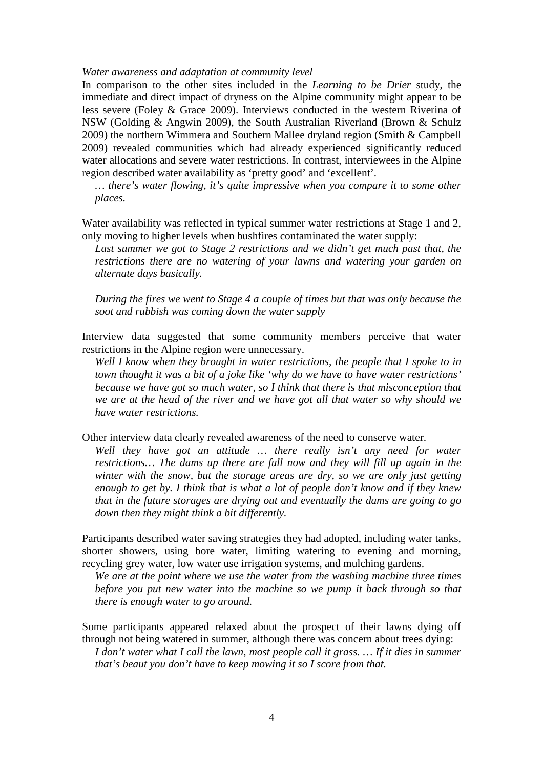#### *Water awareness and adaptation at community level*

In comparison to the other sites included in the *Learning to be Drier* study, the immediate and direct impact of dryness on the Alpine community might appear to be less severe (Foley & Grace 2009). Interviews conducted in the western Riverina of NSW (Golding & Angwin 2009), the South Australian Riverland (Brown & Schulz 2009) the northern Wimmera and Southern Mallee dryland region (Smith & Campbell 2009) revealed communities which had already experienced significantly reduced water allocations and severe water restrictions. In contrast, interviewees in the Alpine region described water availability as 'pretty good' and 'excellent'.

*… there's water flowing, it's quite impressive when you compare it to some other places.* 

Water availability was reflected in typical summer water restrictions at Stage 1 and 2, only moving to higher levels when bushfires contaminated the water supply:

Last summer we got to Stage 2 restrictions and we didn't get much past that, the *restrictions there are no watering of your lawns and watering your garden on alternate days basically.* 

*During the fires we went to Stage 4 a couple of times but that was only because the soot and rubbish was coming down the water supply* 

Interview data suggested that some community members perceive that water restrictions in the Alpine region were unnecessary.

*Well I know when they brought in water restrictions, the people that I spoke to in town thought it was a bit of a joke like 'why do we have to have water restrictions' because we have got so much water, so I think that there is that misconception that we are at the head of the river and we have got all that water so why should we have water restrictions.* 

Other interview data clearly revealed awareness of the need to conserve water.

*Well they have got an attitude … there really isn't any need for water restrictions… The dams up there are full now and they will fill up again in the winter with the snow, but the storage areas are dry, so we are only just getting enough to get by. I think that is what a lot of people don't know and if they knew that in the future storages are drying out and eventually the dams are going to go down then they might think a bit differently.* 

Participants described water saving strategies they had adopted, including water tanks, shorter showers, using bore water, limiting watering to evening and morning, recycling grey water, low water use irrigation systems, and mulching gardens.

*We are at the point where we use the water from the washing machine three times before you put new water into the machine so we pump it back through so that there is enough water to go around.* 

Some participants appeared relaxed about the prospect of their lawns dying off through not being watered in summer, although there was concern about trees dying: *I don't water what I call the lawn, most people call it grass. ... If it dies in summer that's beaut you don't have to keep mowing it so I score from that.*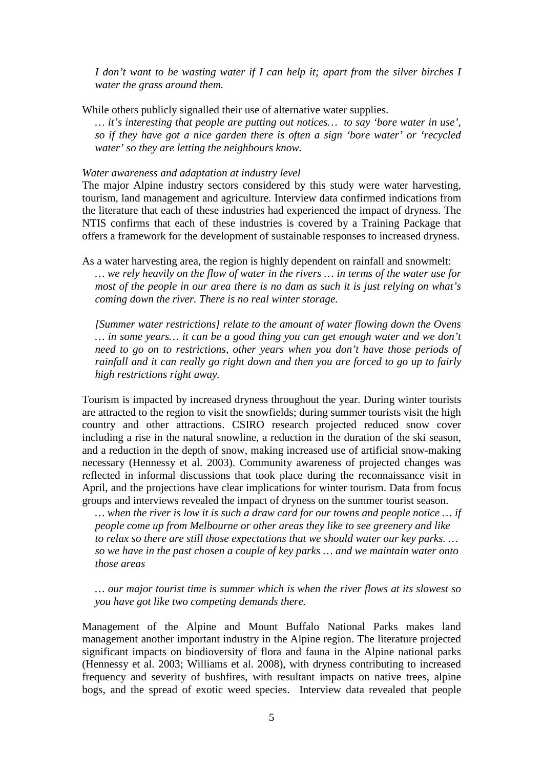*I don't want to be wasting water if I can help it; apart from the silver birches I water the grass around them.* 

While others publicly signalled their use of alternative water supplies.

*… it's interesting that people are putting out notices… to say 'bore water in use', so if they have got a nice garden there is often a sign 'bore water' or 'recycled water' so they are letting the neighbours know.* 

#### *Water awareness and adaptation at industry level*

The major Alpine industry sectors considered by this study were water harvesting, tourism, land management and agriculture. Interview data confirmed indications from the literature that each of these industries had experienced the impact of dryness. The NTIS confirms that each of these industries is covered by a Training Package that offers a framework for the development of sustainable responses to increased dryness.

As a water harvesting area, the region is highly dependent on rainfall and snowmelt: *… we rely heavily on the flow of water in the rivers … in terms of the water use for most of the people in our area there is no dam as such it is just relying on what's coming down the river. There is no real winter storage.* 

*[Summer water restrictions] relate to the amount of water flowing down the Ovens … in some years… it can be a good thing you can get enough water and we don't need to go on to restrictions, other years when you don't have those periods of rainfall and it can really go right down and then you are forced to go up to fairly high restrictions right away.* 

Tourism is impacted by increased dryness throughout the year. During winter tourists are attracted to the region to visit the snowfields; during summer tourists visit the high country and other attractions. CSIRO research projected reduced snow cover including a rise in the natural snowline, a reduction in the duration of the ski season, and a reduction in the depth of snow, making increased use of artificial snow-making necessary (Hennessy et al. 2003). Community awareness of projected changes was reflected in informal discussions that took place during the reconnaissance visit in April, and the projections have clear implications for winter tourism. Data from focus groups and interviews revealed the impact of dryness on the summer tourist season.

*… when the river is low it is such a draw card for our towns and people notice … if people come up from Melbourne or other areas they like to see greenery and like to relax so there are still those expectations that we should water our key parks. … so we have in the past chosen a couple of key parks … and we maintain water onto those areas* 

*… our major tourist time is summer which is when the river flows at its slowest so you have got like two competing demands there.* 

Management of the Alpine and Mount Buffalo National Parks makes land management another important industry in the Alpine region. The literature projected significant impacts on biodioversity of flora and fauna in the Alpine national parks (Hennessy et al. 2003; Williams et al. 2008), with dryness contributing to increased frequency and severity of bushfires, with resultant impacts on native trees, alpine bogs, and the spread of exotic weed species. Interview data revealed that people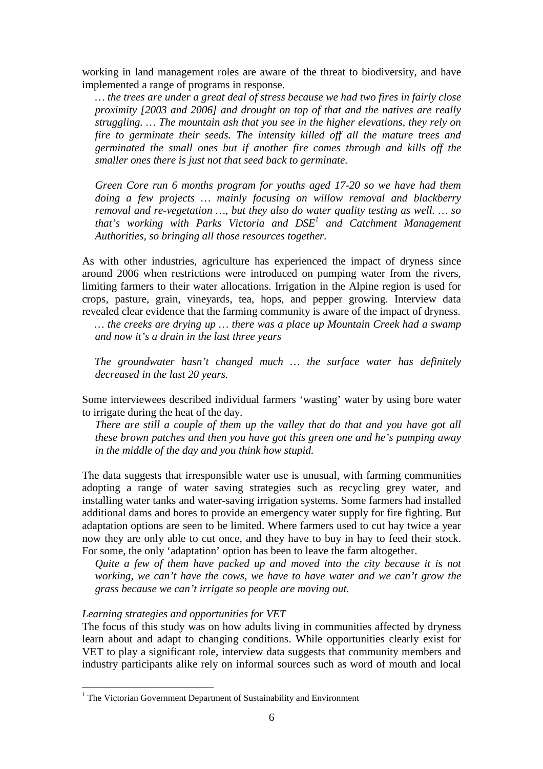working in land management roles are aware of the threat to biodiversity, and have implemented a range of programs in response.

*… the trees are under a great deal of stress because we had two fires in fairly close proximity [2003 and 2006] and drought on top of that and the natives are really struggling. … The mountain ash that you see in the higher elevations, they rely on fire to germinate their seeds. The intensity killed off all the mature trees and germinated the small ones but if another fire comes through and kills off the smaller ones there is just not that seed back to germinate.* 

*Green Core run 6 months program for youths aged 17-20 so we have had them doing a few projects … mainly focusing on willow removal and blackberry removal and re-vegetation …, but they also do water quality testing as well. … so that's working with Parks Victoria and DSE<sup>1</sup> and Catchment Management Authorities, so bringing all those resources together.* 

As with other industries, agriculture has experienced the impact of dryness since around 2006 when restrictions were introduced on pumping water from the rivers, limiting farmers to their water allocations. Irrigation in the Alpine region is used for crops, pasture, grain, vineyards, tea, hops, and pepper growing. Interview data revealed clear evidence that the farming community is aware of the impact of dryness.

*… the creeks are drying up … there was a place up Mountain Creek had a swamp and now it's a drain in the last three years* 

*The groundwater hasn't changed much … the surface water has definitely decreased in the last 20 years.* 

Some interviewees described individual farmers 'wasting' water by using bore water to irrigate during the heat of the day.

*There are still a couple of them up the valley that do that and you have got all these brown patches and then you have got this green one and he's pumping away in the middle of the day and you think how stupid.* 

The data suggests that irresponsible water use is unusual, with farming communities adopting a range of water saving strategies such as recycling grey water, and installing water tanks and water-saving irrigation systems. Some farmers had installed additional dams and bores to provide an emergency water supply for fire fighting. But adaptation options are seen to be limited. Where farmers used to cut hay twice a year now they are only able to cut once, and they have to buy in hay to feed their stock. For some, the only 'adaptation' option has been to leave the farm altogether.

*Quite a few of them have packed up and moved into the city because it is not working, we can't have the cows, we have to have water and we can't grow the grass because we can't irrigate so people are moving out.* 

#### *Learning strategies and opportunities for VET*

 $\overline{a}$ 

The focus of this study was on how adults living in communities affected by dryness learn about and adapt to changing conditions. While opportunities clearly exist for VET to play a significant role, interview data suggests that community members and industry participants alike rely on informal sources such as word of mouth and local

<sup>&</sup>lt;sup>1</sup> The Victorian Government Department of Sustainability and Environment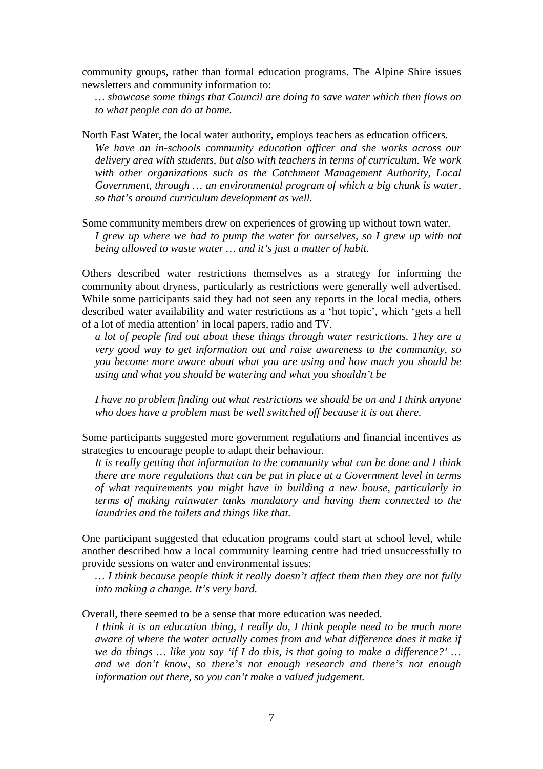community groups, rather than formal education programs. The Alpine Shire issues newsletters and community information to:

*… showcase some things that Council are doing to save water which then flows on to what people can do at home.* 

North East Water, the local water authority, employs teachers as education officers. *We have an in-schools community education officer and she works across our delivery area with students, but also with teachers in terms of curriculum. We work with other organizations such as the Catchment Management Authority, Local Government, through … an environmental program of which a big chunk is water, so that's around curriculum development as well.* 

Some community members drew on experiences of growing up without town water. *I grew up where we had to pump the water for ourselves, so I grew up with not being allowed to waste water … and it's just a matter of habit.* 

Others described water restrictions themselves as a strategy for informing the community about dryness, particularly as restrictions were generally well advertised. While some participants said they had not seen any reports in the local media, others described water availability and water restrictions as a 'hot topic', which 'gets a hell of a lot of media attention' in local papers, radio and TV.

*a lot of people find out about these things through water restrictions. They are a very good way to get information out and raise awareness to the community, so you become more aware about what you are using and how much you should be using and what you should be watering and what you shouldn't be* 

*I have no problem finding out what restrictions we should be on and I think anyone who does have a problem must be well switched off because it is out there.* 

Some participants suggested more government regulations and financial incentives as strategies to encourage people to adapt their behaviour.

*It is really getting that information to the community what can be done and I think there are more regulations that can be put in place at a Government level in terms of what requirements you might have in building a new house, particularly in terms of making rainwater tanks mandatory and having them connected to the laundries and the toilets and things like that.* 

One participant suggested that education programs could start at school level, while another described how a local community learning centre had tried unsuccessfully to provide sessions on water and environmental issues:

*… I think because people think it really doesn't affect them then they are not fully into making a change. It's very hard.* 

Overall, there seemed to be a sense that more education was needed.

*I think it is an education thing, I really do, I think people need to be much more aware of where the water actually comes from and what difference does it make if we do things … like you say 'if I do this, is that going to make a difference?' … and we don't know, so there's not enough research and there's not enough information out there, so you can't make a valued judgement.*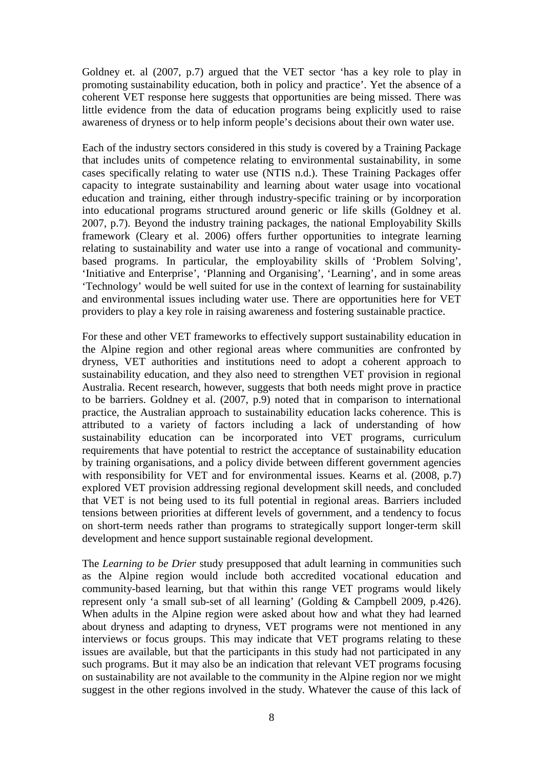Goldney et. al (2007, p.7) argued that the VET sector 'has a key role to play in promoting sustainability education, both in policy and practice'. Yet the absence of a coherent VET response here suggests that opportunities are being missed. There was little evidence from the data of education programs being explicitly used to raise awareness of dryness or to help inform people's decisions about their own water use.

Each of the industry sectors considered in this study is covered by a Training Package that includes units of competence relating to environmental sustainability, in some cases specifically relating to water use (NTIS n.d.). These Training Packages offer capacity to integrate sustainability and learning about water usage into vocational education and training, either through industry-specific training or by incorporation into educational programs structured around generic or life skills (Goldney et al. 2007, p.7). Beyond the industry training packages, the national Employability Skills framework (Cleary et al. 2006) offers further opportunities to integrate learning relating to sustainability and water use into a range of vocational and communitybased programs. In particular, the employability skills of 'Problem Solving', 'Initiative and Enterprise', 'Planning and Organising', 'Learning', and in some areas 'Technology' would be well suited for use in the context of learning for sustainability and environmental issues including water use. There are opportunities here for VET providers to play a key role in raising awareness and fostering sustainable practice.

For these and other VET frameworks to effectively support sustainability education in the Alpine region and other regional areas where communities are confronted by dryness, VET authorities and institutions need to adopt a coherent approach to sustainability education, and they also need to strengthen VET provision in regional Australia. Recent research, however, suggests that both needs might prove in practice to be barriers. Goldney et al. (2007, p.9) noted that in comparison to international practice, the Australian approach to sustainability education lacks coherence. This is attributed to a variety of factors including a lack of understanding of how sustainability education can be incorporated into VET programs, curriculum requirements that have potential to restrict the acceptance of sustainability education by training organisations, and a policy divide between different government agencies with responsibility for VET and for environmental issues. Kearns et al. (2008, p.7) explored VET provision addressing regional development skill needs, and concluded that VET is not being used to its full potential in regional areas. Barriers included tensions between priorities at different levels of government, and a tendency to focus on short-term needs rather than programs to strategically support longer-term skill development and hence support sustainable regional development.

The *Learning to be Drier* study presupposed that adult learning in communities such as the Alpine region would include both accredited vocational education and community-based learning, but that within this range VET programs would likely represent only 'a small sub-set of all learning' (Golding & Campbell 2009, p.426). When adults in the Alpine region were asked about how and what they had learned about dryness and adapting to dryness, VET programs were not mentioned in any interviews or focus groups. This may indicate that VET programs relating to these issues are available, but that the participants in this study had not participated in any such programs. But it may also be an indication that relevant VET programs focusing on sustainability are not available to the community in the Alpine region nor we might suggest in the other regions involved in the study. Whatever the cause of this lack of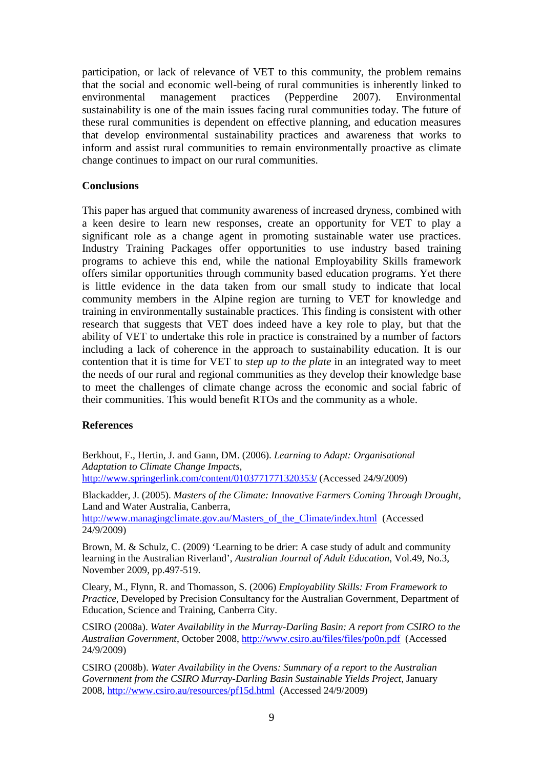participation, or lack of relevance of VET to this community, the problem remains that the social and economic well-being of rural communities is inherently linked to environmental management practices (Pepperdine 2007). Environmental sustainability is one of the main issues facing rural communities today. The future of these rural communities is dependent on effective planning, and education measures that develop environmental sustainability practices and awareness that works to inform and assist rural communities to remain environmentally proactive as climate change continues to impact on our rural communities.

# **Conclusions**

This paper has argued that community awareness of increased dryness, combined with a keen desire to learn new responses, create an opportunity for VET to play a significant role as a change agent in promoting sustainable water use practices. Industry Training Packages offer opportunities to use industry based training programs to achieve this end, while the national Employability Skills framework offers similar opportunities through community based education programs. Yet there is little evidence in the data taken from our small study to indicate that local community members in the Alpine region are turning to VET for knowledge and training in environmentally sustainable practices. This finding is consistent with other research that suggests that VET does indeed have a key role to play, but that the ability of VET to undertake this role in practice is constrained by a number of factors including a lack of coherence in the approach to sustainability education. It is our contention that it is time for VET to *step up to the plate* in an integrated way to meet the needs of our rural and regional communities as they develop their knowledge base to meet the challenges of climate change across the economic and social fabric of their communities. This would benefit RTOs and the community as a whole.

## **References**

Berkhout, F., Hertin, J. and Gann, DM. (2006). *Learning to Adapt: Organisational Adaptation to Climate Change Impacts*, http://www.springerlink.com/content/0103771771320353/ (Accessed 24/9/2009)

Blackadder, J. (2005). *Masters of the Climate: Innovative Farmers Coming Through Drought*, Land and Water Australia, Canberra, http://www.managingclimate.gov.au/Masters of the Climate/index.html (Accessed 24/9/2009)

Brown, M. & Schulz, C. (2009) 'Learning to be drier: A case study of adult and community learning in the Australian Riverland', *Australian Journal of Adult Education*, Vol.49, No.3, November 2009, pp.497-519.

Cleary, M., Flynn, R. and Thomasson, S. (2006) *Employability Skills: From Framework to Practice*, Developed by Precision Consultancy for the Australian Government, Department of Education, Science and Training, Canberra City.

CSIRO (2008a). *Water Availability in the Murray-Darling Basin: A report from CSIRO to the Australian Government*, October 2008, http://www.csiro.au/files/files/po0n.pdf (Accessed 24/9/2009)

CSIRO (2008b). *Water Availability in the Ovens: Summary of a report to the Australian Government from the CSIRO Murray-Darling Basin Sustainable Yields Project*, January 2008, http://www.csiro.au/resources/pf15d.html (Accessed 24/9/2009)